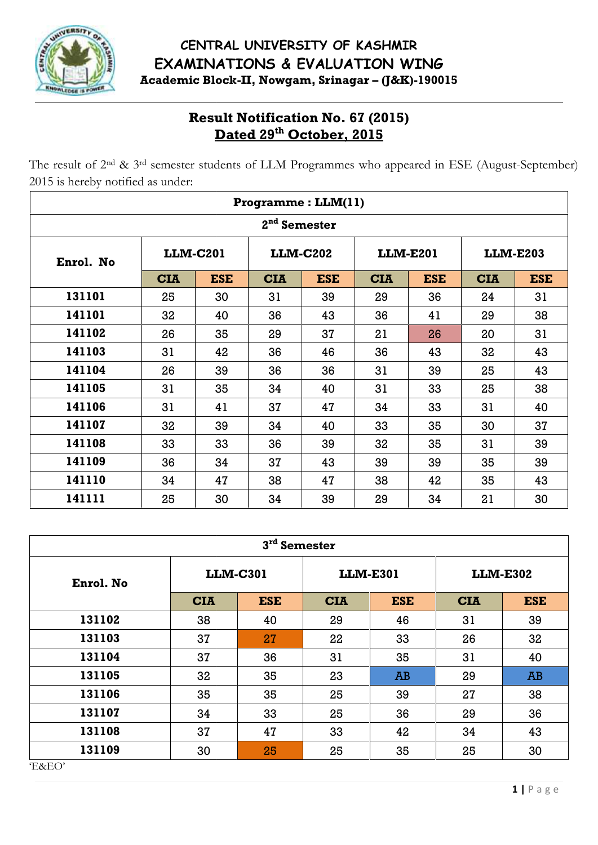

# **Result Notification No. 67 (2015) Dated 29 th October, 2015**

|                                                                                                                                                                 |                 |                 | <b>Result Notification No. 67 (2015)</b><br>Dated 29th October, 2015 |                 |                 |                 |                 |                 |  |
|-----------------------------------------------------------------------------------------------------------------------------------------------------------------|-----------------|-----------------|----------------------------------------------------------------------|-----------------|-----------------|-----------------|-----------------|-----------------|--|
| The result of 2 <sup>nd</sup> & 3 <sup>rd</sup> semester students of LLM Programmes who appeared in ESE (August-September)<br>2015 is hereby notified as under: |                 |                 |                                                                      |                 |                 |                 |                 |                 |  |
|                                                                                                                                                                 |                 |                 | Programme: LLM(11)                                                   |                 |                 |                 |                 |                 |  |
|                                                                                                                                                                 |                 |                 | 2 <sup>nd</sup> Semester                                             |                 |                 |                 |                 |                 |  |
| Enrol. No                                                                                                                                                       | <b>LLM-C201</b> |                 |                                                                      | <b>LLM-C202</b> |                 | <b>LLM-E201</b> |                 | <b>LLM-E203</b> |  |
|                                                                                                                                                                 | <b>CIA</b>      | <b>ESE</b>      | <b>CIA</b>                                                           | <b>ESE</b>      | <b>CIA</b>      | <b>ESE</b>      | <b>CIA</b>      | <b>ESE</b>      |  |
| 131101                                                                                                                                                          | 25              | 30              | 31                                                                   | 39              | 29              | 36              | 24              | 31              |  |
| 141101                                                                                                                                                          | 32              | 40              | 36                                                                   | 43              | 36              | 41              | 29              | 38              |  |
| 141102                                                                                                                                                          | 26              | 35              | 29                                                                   | 37              | 21              | 26              | 20              | 31              |  |
| 141103                                                                                                                                                          | 31              | 42              | 36                                                                   | 46              | 36              | 43              | 32              | 43              |  |
| 141104                                                                                                                                                          | 26              | 39              | 36                                                                   | 36              | 31              | 39              | 25              | 43              |  |
| 141105                                                                                                                                                          | 31              | 35              | 34                                                                   | 40              | 31              | 33              | 25              | 38              |  |
| 141106                                                                                                                                                          | 31              | 41              | 37                                                                   | 47              | 34              | 33              | 31              | 40              |  |
| 141107                                                                                                                                                          | 32              | 39              | 34                                                                   | 40              | 33              | 35              | 30              | 37              |  |
| 141108                                                                                                                                                          | 33              | 33              | 36                                                                   | 39              | 32              | 35              | 31              | 39              |  |
| 141109                                                                                                                                                          | 36              | 34              | 37                                                                   | 43              | 39              | 39              | 35              | 39              |  |
| 141110                                                                                                                                                          | 34              | 47              | 38                                                                   | 47              | 38              | 42              | 35              | 43              |  |
| 141111                                                                                                                                                          | 25              | 30              | 34                                                                   | 39              | 29              | 34              | 21              | 30              |  |
|                                                                                                                                                                 |                 |                 | 3rd Semester                                                         |                 |                 |                 |                 |                 |  |
|                                                                                                                                                                 |                 | <b>LLM-C301</b> |                                                                      |                 | <b>LLM-E301</b> |                 | <b>LLM-E302</b> |                 |  |
| Enrol. No                                                                                                                                                       |                 | <b>CIA</b>      | <b>ESE</b>                                                           | <b>CIA</b>      | <b>ESE</b>      |                 | <b>CIA</b>      | <b>ESE</b>      |  |
| 131102                                                                                                                                                          |                 | 38              | 40                                                                   | 29              | 46              |                 | 31              | 39              |  |
| 131103                                                                                                                                                          |                 | 37              | 27                                                                   | 22              | 33              |                 | 26              | 32              |  |
| 131104                                                                                                                                                          |                 | 37              | 36                                                                   | 31              | 35              |                 | 31              | 40              |  |
| 131105                                                                                                                                                          |                 | 32              | 35                                                                   | 23              | <b>AB</b>       |                 | 29              | AB              |  |
| 131106                                                                                                                                                          |                 | 35              | 35                                                                   | 25              | 39              |                 | 27              | 38              |  |
| 131107                                                                                                                                                          |                 | 34              | 33                                                                   | 25              | 36              |                 | 29              | 36              |  |
| 131108                                                                                                                                                          |                 | 37              | 47                                                                   | 33              | 42              |                 | 34              | 43              |  |
| 131109                                                                                                                                                          |                 | 30              | 25                                                                   | 25              | 35              |                 | 25              | 30              |  |

|           |                 |            |                 |            | 3 <sup>rd</sup> Semester |                    |  |  |  |  |  |  |  |  |  |
|-----------|-----------------|------------|-----------------|------------|--------------------------|--------------------|--|--|--|--|--|--|--|--|--|
| Enrol. No | <b>LLM-C301</b> |            | <b>LLM-E301</b> |            | <b>LLM-E302</b>          |                    |  |  |  |  |  |  |  |  |  |
|           | <b>CIA</b>      | <b>ESE</b> | <b>CIA</b>      | <b>ESE</b> | <b>CIA</b>               | <b>ESE</b>         |  |  |  |  |  |  |  |  |  |
| 131102    | 38              | 40         | 29              | 46         | 31                       | 39                 |  |  |  |  |  |  |  |  |  |
| 131103    | 37              | 27         | 22              | 33         | 26                       | 32                 |  |  |  |  |  |  |  |  |  |
| 131104    | 37              | 36         | 31              | 35         | 31                       | 40                 |  |  |  |  |  |  |  |  |  |
| 131105    | 32              | 35         | 23              | AB         | 29                       | AB                 |  |  |  |  |  |  |  |  |  |
| 131106    | 35              | 35         | 25              | 39         | 27                       | 38                 |  |  |  |  |  |  |  |  |  |
| 131107    | 34              | 33         | 25              | 36         | 29                       | 36                 |  |  |  |  |  |  |  |  |  |
| 131108    | 37              | 47         | 33              | 42         | 34                       | 43                 |  |  |  |  |  |  |  |  |  |
| 131109    | 30              | 25         | 25              | 35         | 25                       | 30                 |  |  |  |  |  |  |  |  |  |
| E&EO'     |                 |            |                 |            |                          |                    |  |  |  |  |  |  |  |  |  |
|           |                 |            |                 |            |                          | $1   P \text{age}$ |  |  |  |  |  |  |  |  |  |